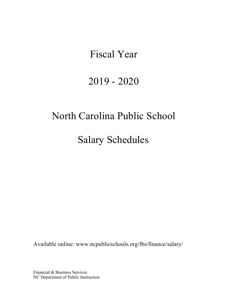# Fiscal Year

# 2019 - 2020

# North Carolina Public School

Salary Schedules

Available online: [www.ncpublicschools.org/fbs/finance/salary/](http://www.ncpublicschools.org/fbs/finance/salary/)

Financial & Business Services NC Department of Public Instruction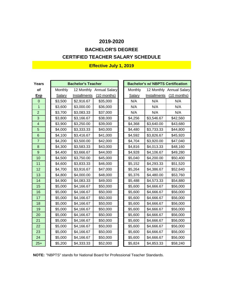# **CERTIFIED TEACHER SALARY SCHEDULE BACHELOR'S DEGREE**

| Years                    |         | <b>Bachelor's Teacher</b> |                          |         | <b>Bachelor's w/ NBPTS Certification</b> |                          |
|--------------------------|---------|---------------------------|--------------------------|---------|------------------------------------------|--------------------------|
| of                       | Monthly |                           | 12 Monthly Annual Salary | Monthly |                                          | 12 Monthly Annual Salary |
| <b>Exp</b>               | Salary  | Installments              | $(10$ months)            | Salary  | Installments                             | (10 months)              |
| $\Omega$                 | \$3,500 | \$2,916.67                | \$35,000                 | N/A     | N/A                                      | N/A                      |
| $\overline{1}$           | \$3,600 | \$3,000.00                | \$36,000                 | N/A     | N/A                                      | N/A                      |
| $\overline{2}$           | \$3,700 | \$3,083.33                | \$37,000                 | N/A     | N/A                                      | N/A                      |
| 3                        | \$3,800 | \$3,166.67                | \$38,000                 | \$4,256 | \$3,546.67                               | \$42,560                 |
| $\overline{\mathcal{A}}$ | \$3,900 | \$3,250.00                | \$39,000                 | \$4,368 | \$3,640.00                               | \$43,680                 |
| 5                        | \$4,000 | \$3,333.33                | \$40,000                 | \$4,480 | \$3,733.33                               | \$44,800                 |
| 6                        | \$4,100 | \$3,416.67                | \$41,000                 | \$4,592 | \$3,826.67                               | \$45,920                 |
| $\overline{7}$           | \$4,200 | \$3,500.00                | \$42,000                 | \$4,704 | \$3,920.00                               | \$47,040                 |
| 8                        | \$4,300 | \$3,583.33                | \$43,000                 | \$4,816 | \$4,013.33                               | \$48,160                 |
| 9                        | \$4,400 | \$3,666.67                | \$44,000                 | \$4,928 | \$4,106.67                               | \$49,280                 |
| 10                       | \$4,500 | \$3,750.00                | \$45,000                 | \$5,040 | \$4,200.00                               | \$50,400                 |
| 11                       | \$4,600 | \$3,833.33                | \$46,000                 | \$5,152 | \$4,293.33                               | \$51,520                 |
| 12                       | \$4,700 | \$3,916.67                | \$47,000                 | \$5,264 | \$4,386.67                               | \$52,640                 |
| 13                       | \$4,800 | \$4,000.00                | \$48,000                 | \$5,376 | \$4,480.00                               | \$53,760                 |
| 14                       | \$4,900 | \$4,083.33                | \$49,000                 | \$5,488 | \$4,573.33                               | \$54,880                 |
| 15                       | \$5,000 | \$4,166.67                | \$50,000                 | \$5,600 | \$4,666.67                               | \$56,000                 |
| 16                       | \$5,000 | \$4,166.67                | \$50,000                 | \$5,600 | \$4,666.67                               | \$56,000                 |
| 17                       | \$5,000 | \$4,166.67                | \$50,000                 | \$5,600 | \$4,666.67                               | \$56,000                 |
| 18                       | \$5,000 | \$4,166.67                | \$50,000                 | \$5,600 | \$4,666.67                               | \$56,000                 |
| 19                       | \$5,000 | \$4,166.67                | \$50,000                 | \$5,600 | \$4,666.67                               | \$56,000                 |
| 20                       | \$5,000 | \$4,166.67                | \$50,000                 | \$5,600 | \$4,666.67                               | \$56,000                 |
| 21                       | \$5,000 | \$4,166.67                | \$50,000                 | \$5,600 | \$4,666.67                               | \$56,000                 |
| 22                       | \$5,000 | \$4,166.67                | \$50,000                 | \$5,600 | \$4,666.67                               | \$56,000                 |
| 23                       | \$5,000 | \$4,166.67                | \$50,000                 | \$5,600 | \$4,666.67                               | \$56,000                 |
| 24                       | \$5,000 | \$4,166.67                | \$50,000                 | \$5,600 | \$4,666.67                               | \$56,000                 |
| $25+$                    | \$5,200 | \$4,333.33                | \$52,000                 | \$5,824 | \$4,853.33                               | \$58,240                 |

**NOTE:** "NBPTS" stands for National Board for Professional Teacher Standards.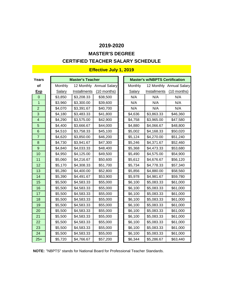## **MASTER'S DEGREE**

## **CERTIFIED TEACHER SALARY SCHEDULE**

| Years          |               | <b>Master's Teacher</b> |                          |                | <b>Master's w/NBPTS Certification</b> |                          |
|----------------|---------------|-------------------------|--------------------------|----------------|---------------------------------------|--------------------------|
| of             | Monthly       |                         | 12 Monthly Annual Salary | <b>Monthly</b> |                                       | 12 Monthly Annual Salary |
| <b>Exp</b>     | <b>Salary</b> | <b>Installments</b>     | (10 months)              | <b>Salary</b>  | <b>Installments</b>                   | $(10$ months)            |
| $\overline{0}$ | \$3,850       | \$3,208.33              | \$38,500                 | N/A            | N/A                                   | N/A                      |
| $\mathbf{1}$   | \$3,960       | \$3,300.00              | \$39,600                 | N/A            | N/A                                   | N/A                      |
| $\overline{2}$ | \$4,070       | \$3,391.67              | \$40,700                 | N/A            | N/A                                   | N/A                      |
| 3              | \$4,180       | \$3,483.33              | \$41,800                 | \$4,636        | \$3,863.33                            | \$46,360                 |
| 4              | \$4,290       | \$3,575.00              | \$42,900                 | \$4,758        | \$3,965.00                            | \$47,580                 |
| 5              | \$4,400       | \$3,666.67              | \$44,000                 | \$4,880        | \$4,066.67                            | \$48,800                 |
| $6\phantom{1}$ | \$4,510       | \$3,758.33              | \$45,100                 | \$5,002        | \$4,168.33                            | \$50,020                 |
| $\overline{7}$ | \$4,620       | \$3,850.00              | \$46,200                 | \$5,124        | \$4,270.00                            | \$51,240                 |
| $\bf 8$        | \$4,730       | \$3,941.67              | \$47,300                 | \$5,246        | \$4,371.67                            | \$52,460                 |
| $\mathsf g$    | \$4,840       | \$4,033.33              | \$48,400                 | \$5,368        | \$4,473.33                            | \$53,680                 |
| 10             | \$4,950       | \$4,125.00              | \$49,500                 | \$5,490        | \$4,575.00                            | \$54,900                 |
| 11             | \$5,060       | \$4,216.67              | \$50,600                 | \$5,612        | \$4,676.67                            | \$56,120                 |
| 12             | \$5,170       | \$4,308.33              | \$51,700                 | \$5,734        | \$4,778.33                            | \$57,340                 |
| 13             | \$5,280       | \$4,400.00              | \$52,800                 | \$5,856        | \$4,880.00                            | \$58,560                 |
| 14             | \$5,390       | \$4,491.67              | \$53,900                 | \$5,978        | \$4,981.67                            | \$59,780                 |
| 15             | \$5,500       | \$4,583.33              | \$55,000                 | \$6,100        | \$5,083.33                            | \$61,000                 |
| 16             | \$5,500       | \$4,583.33              | \$55,000                 | \$6,100        | \$5,083.33                            | \$61,000                 |
| 17             | \$5,500       | \$4,583.33              | \$55,000                 | \$6,100        | \$5,083.33                            | \$61,000                 |
| 18             | \$5,500       | \$4,583.33              | \$55,000                 | \$6,100        | \$5,083.33                            | \$61,000                 |
| 19             | \$5,500       | \$4,583.33              | \$55,000                 | \$6,100        | \$5,083.33                            | \$61,000                 |
| 20             | \$5,500       | \$4,583.33              | \$55,000                 | \$6,100        | \$5,083.33                            | \$61,000                 |
| 21             | \$5,500       | \$4,583.33              | \$55,000                 | \$6,100        | \$5,083.33                            | \$61,000                 |
| 22             | \$5,500       | \$4,583.33              | \$55,000                 | \$6,100        | \$5,083.33                            | \$61,000                 |
| 23             | \$5,500       | \$4,583.33              | \$55,000                 | \$6,100        | \$5,083.33                            | \$61,000                 |
| 24             | \$5,500       | \$4,583.33              | \$55,000                 | \$6,100        | \$5,083.33                            | \$61,000                 |
| $25+$          | \$5,720       | \$4,766.67              | \$57,200                 | \$6,344        | \$5,286.67                            | \$63,440                 |

**NOTE:** "NBPTS" stands for National Board for Professional Teacher Standards.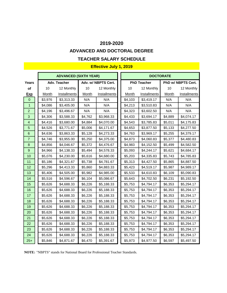#### **ADVANCED AND DOCTORAL DEGREE**

#### **TEACHER SALARY SCHEDULE**

### **Effective July 1, 2019**

|                         |         | <b>ADVANCED (SIXTH YEAR)</b> |         |                     | <b>DOCTORATE</b> |                    |              |                    |
|-------------------------|---------|------------------------------|---------|---------------------|------------------|--------------------|--------------|--------------------|
| <b>Years</b>            |         | Adv. Teacher                 |         | Adv. w/ NBPTS Cert. |                  | <b>PhD Teacher</b> |              | PhD w/ NBPTS Cert. |
| of                      | 10      | 12 Monthly                   | 10      | 12 Monthly          | 10               | 12 Monthly         | 10           | 12 Monthly         |
| <u>Exp</u>              | Month   | Installments                 | Month   | Installments        | Month            | Installments       | <b>Month</b> | Installments       |
| $\overline{0}$          | \$3,976 | \$3,313.33                   | N/A     | N/A                 | \$4,103          | \$3,419.17         | N/A          | N/A                |
| $\mathbf{1}$            | \$4,086 | \$3,405.00                   | N/A     | N/A                 | \$4,213          | \$3,510.83         | N/A          | N/A                |
| $\overline{2}$          | \$4,196 | \$3,496.67                   | N/A     | N/A                 | \$4,323          | \$3,602.50         | N/A          | N/A                |
| $\mathbf{3}$            | \$4,306 | \$3,588.33                   | \$4,762 | \$3,968.33          | \$4,433          | \$3,694.17         | \$4,889      | \$4,074.17         |
| $\overline{\mathbf{4}}$ | \$4,416 | \$3,680.00                   | \$4,884 | \$4,070.00          | \$4,543          | \$3,785.83         | \$5,011      | \$4,175.83         |
| 5                       | \$4,526 | \$3,771.67                   | \$5,006 | \$4,171.67          | \$4,653          | \$3,877.50         | \$5,133      | \$4,277.50         |
| $6\phantom{1}$          | \$4,636 | \$3,863.33                   | \$5,128 | \$4,273.33          | \$4,763          | \$3,969.17         | \$5,255      | \$4,379.17         |
| $\overline{7}$          | \$4,746 | \$3,955.00                   | \$5,250 | \$4,375.00          | \$4,873          | \$4,060.83         | \$5,377      | \$4,480.83         |
| $\boldsymbol{8}$        | \$4,856 | \$4,046.67                   | \$5,372 | \$4,476.67          | \$4,983          | \$4,152.50         | \$5,499      | \$4,582.50         |
| $\boldsymbol{9}$        | \$4,966 | \$4,138.33                   | \$5,494 | \$4,578.33          | \$5,093          | \$4,244.17         | \$5,621      | \$4,684.17         |
| 10                      | \$5,076 | \$4,230.00                   | \$5,616 | \$4,680.00          | \$5,203          | \$4,335.83         | \$5,743      | \$4,785.83         |
| 11                      | \$5,186 | \$4,321.67                   | \$5,738 | \$4,781.67          | \$5,313          | \$4,427.50         | \$5,865      | \$4,887.50         |
| 12                      | \$5,296 | \$4,413.33                   | \$5,860 | \$4,883.33          | \$5,423          | \$4,519.17         | \$5,987      | \$4,989.17         |
| 13                      | \$5,406 | \$4,505.00                   | \$5,982 | \$4,985.00          | \$5,533          | \$4,610.83         | \$6,109      | \$5,090.83         |
| 14                      | \$5,516 | \$4,596.67                   | \$6,104 | \$5,086.67          | \$5,643          | \$4,702.50         | \$6,231      | \$5,192.50         |
| 15                      | \$5,626 | \$4,688.33                   | \$6,226 | \$5,188.33          | \$5,753          | \$4,794.17         | \$6,353      | \$5,294.17         |
| 16                      | \$5,626 | \$4,688.33                   | \$6,226 | \$5,188.33          | \$5,753          | \$4,794.17         | \$6,353      | \$5,294.17         |
| 17                      | \$5,626 | \$4,688.33                   | \$6,226 | \$5,188.33          | \$5,753          | \$4,794.17         | \$6,353      | \$5,294.17         |
| 18                      | \$5,626 | \$4,688.33                   | \$6,226 | \$5,188.33          | \$5,753          | \$4,794.17         | \$6,353      | \$5,294.17         |
| 19                      | \$5,626 | \$4,688.33                   | \$6,226 | \$5,188.33          | \$5,753          | \$4,794.17         | \$6,353      | \$5,294.17         |
| 20                      | \$5,626 | \$4,688.33                   | \$6,226 | \$5,188.33          | \$5,753          | \$4,794.17         | \$6,353      | \$5,294.17         |
| 21                      | \$5,626 | \$4,688.33                   | \$6,226 | \$5,188.33          | \$5,753          | \$4,794.17         | \$6,353      | \$5,294.17         |
| 22                      | \$5,626 | \$4,688.33                   | \$6,226 | \$5,188.33          | \$5,753          | \$4,794.17         | \$6,353      | \$5,294.17         |
| 23                      | \$5,626 | \$4,688.33                   | \$6,226 | \$5,188.33          | \$5,753          | \$4,794.17         | \$6,353      | \$5,294.17         |
| 24                      | \$5,626 | \$4,688.33                   | \$6,226 | \$5,188.33          | \$5,753          | \$4,794.17         | \$6,353      | \$5,294.17         |
| $25+$                   | \$5,846 | \$4,871.67                   | \$6,470 | \$5,391.67          | \$5,973          | \$4,977.50         | \$6,597      | \$5,497.50         |

**NOTE:** "NBPTS" stands for National Board for Professional Teacher Standards.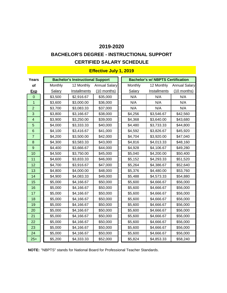## **CERTIFIED SALARY SCHEDULE BACHELOR'S DEGREE - INSTRUCTIONAL SUPPORT**

| Years                   |         | <b>Bachelor's Instructional Support</b> |                      |               | <b>Bachelor's w/ NBPTS Certification</b> |                      |
|-------------------------|---------|-----------------------------------------|----------------------|---------------|------------------------------------------|----------------------|
| <b>of</b>               | Monthly | 12 Monthly                              | <b>Annual Salary</b> | Monthly       | 12 Monthly                               | <b>Annual Salary</b> |
|                         |         |                                         |                      |               | Installments                             |                      |
| <b>Exp</b>              | Salary  | <b>Installments</b>                     | $(10$ months)        | <b>Salary</b> |                                          | $(10$ months)        |
| $\mathbf 0$             | \$3,500 | \$2,916.67                              | \$35,000             | N/A           | N/A                                      | N/A                  |
| $\overline{1}$          | \$3,600 | \$3,000.00                              | \$36,000             | N/A           | N/A                                      | N/A                  |
| $\overline{2}$          | \$3,700 | \$3,083.33                              | \$37,000             | N/A           | N/A                                      | N/A                  |
| 3                       | \$3,800 | \$3,166.67                              | \$38,000             | \$4,256       | \$3,546.67                               | \$42,560             |
| $\overline{\mathbf{4}}$ | \$3,900 | \$3,250.00                              | \$39,000             | \$4,368       | \$3,640.00                               | \$43,680             |
| 5                       | \$4,000 | \$3,333.33                              | \$40,000             | \$4,480       | \$3,733.33                               | \$44,800             |
| $6\phantom{1}6$         | \$4,100 | \$3,416.67                              | \$41,000             | \$4,592       | \$3,826.67                               | \$45,920             |
| $\overline{7}$          | \$4,200 | \$3,500.00                              | \$42,000             | \$4,704       | \$3,920.00                               | \$47,040             |
| 8                       | \$4,300 | \$3,583.33                              | \$43,000             | \$4,816       | \$4,013.33                               | \$48,160             |
| 9                       | \$4,400 | \$3,666.67                              | \$44,000             | \$4,928       | \$4,106.67                               | \$49,280             |
| 10                      | \$4,500 | \$3,750.00                              | \$45,000             | \$5,040       | \$4,200.00                               | \$50,400             |
| 11                      | \$4,600 | \$3,833.33                              | \$46,000             | \$5,152       | \$4,293.33                               | \$51,520             |
| 12                      | \$4,700 | \$3,916.67                              | \$47,000             | \$5,264       | \$4,386.67                               | \$52,640             |
| 13                      | \$4,800 | \$4,000.00                              | \$48,000             | \$5,376       | \$4,480.00                               | \$53,760             |
| 14                      | \$4,900 | \$4,083.33                              | \$49,000             | \$5,488       | \$4,573.33                               | \$54,880             |
| 15                      | \$5,000 | \$4,166.67                              | \$50,000             | \$5,600       | \$4,666.67                               | \$56,000             |
| 16                      | \$5,000 | \$4,166.67                              | \$50,000             | \$5,600       | \$4,666.67                               | \$56,000             |
| 17                      | \$5,000 | \$4,166.67                              | \$50,000             | \$5,600       | \$4,666.67                               | \$56,000             |
| 18                      | \$5,000 | \$4,166.67                              | \$50,000             | \$5,600       | \$4,666.67                               | \$56,000             |
| 19                      | \$5,000 | \$4,166.67                              | \$50,000             | \$5,600       | \$4,666.67                               | \$56,000             |
| 20                      | \$5,000 | \$4,166.67                              | \$50,000             | \$5,600       | \$4,666.67                               | \$56,000             |
| 21                      | \$5,000 | \$4,166.67                              | \$50,000             | \$5,600       | \$4,666.67                               | \$56,000             |
| 22                      | \$5,000 | \$4,166.67                              | \$50,000             | \$5,600       | \$4,666.67                               | \$56,000             |
| 23                      | \$5,000 | \$4,166.67                              | \$50,000             | \$5,600       | \$4,666.67                               | \$56,000             |
| 24                      | \$5,000 | \$4,166.67                              | \$50,000             | \$5,600       | \$4,666.67                               | \$56,000             |
| $25+$                   | \$5,200 | \$4,333.33                              | \$52,000             | \$5,824       | \$4,853.33                               | \$58,240             |

**NOTE:** "NBPTS" stands for National Board for Professional Teacher Standards.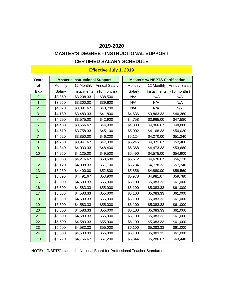# **MASTER'S DEGREE - INSTRUCTIONAL SUPPORT**

## **CERTIFIED SALARY SCHEDULE**

| <b>Years</b>            |         | <b>Master's Instructional Support</b> |                          |         | <b>Master's w/ NBPTS Certification</b> |                          |
|-------------------------|---------|---------------------------------------|--------------------------|---------|----------------------------------------|--------------------------|
| of                      | Monthly |                                       | 12 Monthly Annual Salary | Monthly |                                        | 12 Monthly Annual Salary |
| <b>Exp</b>              | Salary  | <b>Installments</b>                   | (10 months)              | Salary  | Installments                           | $(10$ months)            |
| $\mathbf 0$             | \$3,850 | \$3,208.33                            | \$38,500                 | N/A     | N/A                                    | N/A                      |
| $\overline{1}$          | \$3,960 | \$3,300.00                            | \$39,600                 | N/A     | N/A                                    | N/A                      |
| $\overline{2}$          | \$4,070 | \$3,391.67                            | \$40,700                 | N/A     | N/A                                    | N/A                      |
| 3                       | \$4,180 | \$3,483.33                            | \$41,800                 | \$4,636 | \$3,863.33                             | \$46,360                 |
| $\overline{\mathbf{4}}$ | \$4,290 | \$3,575.00                            | \$42,900                 | \$4,758 | \$3,965.00                             | \$47,580                 |
| 5                       | \$4,400 | \$3,666.67                            | \$44,000                 | \$4,880 | \$4,066.67                             | \$48,800                 |
| $6\phantom{1}$          | \$4,510 | \$3,758.33                            | \$45,100                 | \$5,002 | \$4,168.33                             | \$50,020                 |
| $\overline{7}$          | \$4,620 | \$3,850.00                            | \$46,200                 | \$5,124 | \$4,270.00                             | \$51,240                 |
| $\bf 8$                 | \$4,730 | \$3,941.67                            | \$47,300                 | \$5,246 | \$4,371.67                             | \$52,460                 |
| $\overline{9}$          | \$4,840 | \$4,033.33                            | \$48,400                 | \$5,368 | \$4,473.33                             | \$53,680                 |
| 10                      | \$4,950 | \$4,125.00                            | \$49,500                 | \$5,490 | \$4,575.00                             | \$54,900                 |
| 11                      | \$5,060 | \$4,216.67                            | \$50,600                 | \$5,612 | \$4,676.67                             | \$56,120                 |
| 12                      | \$5,170 | \$4,308.33                            | \$51,700                 | \$5,734 | \$4,778.33                             | \$57,340                 |
| 13                      | \$5,280 | \$4,400.00                            | \$52,800                 | \$5,856 | \$4,880.00                             | \$58,560                 |
| 14                      | \$5,390 | \$4,491.67                            | \$53,900                 | \$5,978 | \$4,981.67                             | \$59,780                 |
| 15                      | \$5,500 | \$4,583.33                            | \$55,000                 | \$6,100 | \$5,083.33                             | \$61,000                 |
| 16                      | \$5,500 | \$4,583.33                            | \$55,000                 | \$6,100 | \$5,083.33                             | \$61,000                 |
| 17                      | \$5,500 | \$4,583.33                            | \$55,000                 | \$6,100 | \$5,083.33                             | \$61,000                 |
| 18                      | \$5,500 | \$4,583.33                            | \$55,000                 | \$6,100 | \$5,083.33                             | \$61,000                 |
| 19                      | \$5,500 | \$4,583.33                            | \$55,000                 | \$6,100 | \$5,083.33                             | \$61,000                 |
| 20                      | \$5,500 | \$4,583.33                            | \$55,000                 | \$6,100 | \$5,083.33                             | \$61,000                 |
| 21                      | \$5,500 | \$4,583.33                            | \$55,000                 | \$6,100 | \$5,083.33                             | \$61,000                 |
| 22                      | \$5,500 | \$4,583.33                            | \$55,000                 | \$6,100 | \$5,083.33                             | \$61,000                 |
| 23                      | \$5,500 | \$4,583.33                            | \$55,000                 | \$6,100 | \$5,083.33                             | \$61,000                 |
| 24                      | \$5,500 | \$4,583.33                            | \$55,000                 | \$6,100 | \$5,083.33                             | \$61,000                 |
| $25+$                   | \$5,720 | \$4,766.67                            | \$57,200                 | \$6,344 | \$5,286.67                             | \$63,440                 |

**NOTE:** "NBPTS" stands for National Board for Professional Teacher Standards.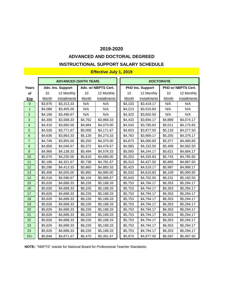## **ADVANCED AND DOCTORAL DEGREED**

### **INSTRUCTIONAL SUPPORT SALARY SCHEDULE**

#### **Effective July 1, 2019**

|                |              | <b>ADVANCED (SIXTH YEAR)</b> |         |                     |         | <b>DOCTORATE</b>        |         |                    |
|----------------|--------------|------------------------------|---------|---------------------|---------|-------------------------|---------|--------------------|
| Years          |              | Adv. Ins. Support            |         | Adv. w/ NBPTS Cert. |         | <b>PhD Ins. Support</b> |         | PhD w/ NBPTS Cert. |
| of             | 10           | 12 Monthly                   | 10      | 12 Monthly          | 10      | 12 Monthly              | 10      | 12 Monthly         |
| <u>Exp</u>     | <b>Month</b> | Installments                 | Month   | Installments        | Month   | <b>Installments</b>     | Month   | Installments       |
| $\overline{0}$ | \$3,976      | \$3,313.33                   | N/A     | N/A                 | \$4,103 | \$3,419.17              | N/A     | N/A                |
| $\mathbf{1}$   | \$4,086      | \$3,405.00                   | N/A     | N/A                 | \$4,213 | \$3,510.83              | N/A     | N/A                |
| $\overline{2}$ | \$4,196      | \$3,496.67                   | N/A     | N/A                 | \$4,323 | \$3,602.50              | N/A     | N/A                |
| $\mathbf{3}$   | \$4,306      | \$3,588.33                   | \$4,762 | \$3,968.33          | \$4,433 | \$3,694.17              | \$4,889 | \$4,074.17         |
| 4              | \$4,416      | \$3,680.00                   | \$4,884 | \$4,070.00          | \$4,543 | \$3,785.83              | \$5,011 | \$4,175.83         |
| $\overline{5}$ | \$4,526      | \$3,771.67                   | \$5,006 | \$4,171.67          | \$4,653 | \$3,877.50              | \$5,133 | \$4,277.50         |
| $\,6\,$        | \$4,636      | \$3,863.33                   | \$5,128 | \$4,273.33          | \$4,763 | \$3,969.17              | \$5,255 | \$4,379.17         |
| $\overline{7}$ | \$4,746      | \$3,955.00                   | \$5,250 | \$4,375.00          | \$4,873 | \$4,060.83              | \$5,377 | \$4,480.83         |
| $\bf 8$        | \$4,856      | \$4,046.67                   | \$5,372 | \$4,476.67          | \$4,983 | \$4,152.50              | \$5,499 | \$4,582.50         |
| $\overline{9}$ | \$4,966      | \$4,138.33                   | \$5,494 | \$4,578.33          | \$5,093 | \$4,244.17              | \$5,621 | \$4,684.17         |
| 10             | \$5,076      | \$4,230.00                   | \$5,616 | \$4,680.00          | \$5,203 | \$4,335.83              | \$5,743 | \$4,785.83         |
| 11             | \$5,186      | \$4,321.67                   | \$5,738 | \$4,781.67          | \$5,313 | \$4,427.50              | \$5,865 | \$4,887.50         |
| 12             | \$5,296      | \$4,413.33                   | \$5,860 | \$4,883.33          | \$5,423 | \$4,519.17              | \$5,987 | \$4,989.17         |
| 13             | \$5,406      | \$4,505.00                   | \$5,982 | \$4,985.00          | \$5,533 | \$4,610.83              | \$6,109 | \$5,090.83         |
| 14             | \$5,516      | \$4,596.67                   | \$6,104 | \$5,086.67          | \$5,643 | \$4,702.50              | \$6,231 | \$5,192.50         |
| 15             | \$5,626      | \$4,688.33                   | \$6,226 | \$5,188.33          | \$5,753 | \$4,794.17              | \$6,353 | \$5,294.17         |
| 16             | \$5,626      | \$4,688.33                   | \$6,226 | \$5,188.33          | \$5,753 | \$4,794.17              | \$6,353 | \$5,294.17         |
| 17             | \$5,626      | \$4,688.33                   | \$6,226 | \$5,188.33          | \$5,753 | \$4,794.17              | \$6,353 | \$5,294.17         |
| 18             | \$5,626      | \$4,688.33                   | \$6,226 | \$5,188.33          | \$5,753 | \$4,794.17              | \$6,353 | \$5,294.17         |
| 19             | \$5,626      | \$4,688.33                   | \$6,226 | \$5,188.33          | \$5,753 | \$4,794.17              | \$6,353 | \$5,294.17         |
| 20             | \$5,626      | \$4,688.33                   | \$6,226 | \$5,188.33          | \$5,753 | \$4,794.17              | \$6,353 | \$5,294.17         |
| 21             | \$5,626      | \$4,688.33                   | \$6,226 | \$5,188.33          | \$5,753 | \$4,794.17              | \$6,353 | \$5,294.17         |
| 22             | \$5,626      | \$4,688.33                   | \$6,226 | \$5,188.33          | \$5,753 | \$4,794.17              | \$6,353 | \$5,294.17         |
| 23             | \$5,626      | \$4,688.33                   | \$6,226 | \$5,188.33          | \$5,753 | \$4,794.17              | \$6,353 | \$5,294.17         |
| 24             | \$5,626      | \$4,688.33                   | \$6,226 | \$5,188.33          | \$5,753 | \$4,794.17              | \$6,353 | \$5,294.17         |
| $25+$          | \$5,846      | \$4,871.67                   | \$6,470 | \$5,391.67          | \$5,973 | \$4,977.50              | \$6,597 | \$5,497.50         |

**NOTE:** "NBPTS" stands for National Board for Professional Teacher Standards.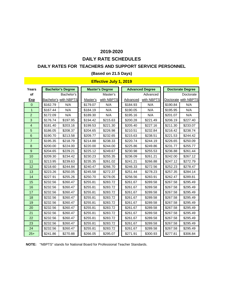## **DAILY RATE SCHEDULES**

#### **DAILY RATES FOR TEACHERS AND SUPPORT SERVICE PERSONNEL**

#### **(Based on 21.5 Days)**

### **Effective July 1, 2019**

| Years            |          | <b>Bachelor's Degree</b>     |          | <b>Master's Degree</b> |          | <b>Advanced Degree</b> | <b>Doctorate Degree</b> |                      |  |
|------------------|----------|------------------------------|----------|------------------------|----------|------------------------|-------------------------|----------------------|--|
| of               |          | Bachelor's                   |          | Master's               |          | Advanced               |                         | Doctorate            |  |
| <b>Exp</b>       |          | <b>Bachelor's with NBPTS</b> | Master's | with NBPTS             | Advanced | with NBPTS             |                         | Doctorate with NBPTS |  |
| $\Omega$         | \$162.79 | N/A                          | \$179.07 | N/A                    | \$184.93 | N/A                    | \$190.84                | N/A                  |  |
| $\mathbf{1}$     | \$167.44 | N/A                          | \$184.19 | N/A                    | \$190.05 | N/A                    | \$195.95                | N/A                  |  |
| $\overline{2}$   | \$172.09 | N/A                          | \$189.30 | N/A                    | \$195.16 | N/A                    | \$201.07                | N/A                  |  |
| 3                | \$176.74 | \$197.95                     | \$194.42 | \$215.63               | \$200.28 | \$221.49               | \$206.19                | \$227.40             |  |
| $\overline{4}$   | \$181.40 | \$203.16                     | \$199.53 | \$221.30               | \$205.40 | \$227.16               | \$211.30                | \$233.07             |  |
| $\overline{5}$   | \$186.05 | \$208.37                     | \$204.65 | \$226.98               | \$210.51 | \$232.84               | \$216.42                | \$238.74             |  |
| 6                | \$190.70 | \$213.58                     | \$209.77 | \$232.65               | \$215.63 | \$238.51               | \$221.53                | \$244.42             |  |
| $\overline{7}$   | \$195.35 | \$218.79                     | \$214.88 | \$238.33               | \$220.74 | \$244.19               | \$226.65                | \$250.09             |  |
| 8                | \$200.00 | \$224.00                     | \$220.00 | \$244.00               | \$225.86 | \$249.86               | \$231.77                | \$255.77             |  |
| $\boldsymbol{9}$ | \$204.65 | \$229.21                     | \$225.12 | \$249.67               | \$230.98 | \$255.53               | \$236.88                | \$261.44             |  |
| 10               | \$209.30 | \$234.42                     | \$230.23 | \$255.35               | \$236.09 | \$261.21               | \$242.00                | \$267.12             |  |
| 11               | \$213.95 | \$239.63                     | \$235.35 | \$261.02               | \$241.21 | \$266.88               | \$247.12                | \$272.79             |  |
| 12               | \$218.60 | \$244.84                     | \$240.47 | \$266.70               | \$246.33 | \$272.56               | \$252.23                | \$278.47             |  |
| 13               | \$223.26 | \$250.05                     | \$245.58 | \$272.37               | \$251.44 | \$278.23               | \$257.35                | \$284.14             |  |
| 14               | \$227.91 | \$255.26                     | \$250.70 | \$278.05               | \$256.56 | \$283.91               | \$262.47                | \$289.81             |  |
| 15               | \$232.56 | \$260.47                     | \$255.81 | \$283.72               | \$261.67 | \$289.58               | \$267.58                | \$295.49             |  |
| 16               | \$232.56 | \$260.47                     | \$255.81 | \$283.72               | \$261.67 | \$289.58               | \$267.58                | \$295.49             |  |
| 17               | \$232.56 | \$260.47                     | \$255.81 | \$283.72               | \$261.67 | \$289.58               | \$267.58                | \$295.49             |  |
| 18               | \$232.56 | \$260.47                     | \$255.81 | \$283.72               | \$261.67 | \$289.58               | \$267.58                | \$295.49             |  |
| 19               | \$232.56 | \$260.47                     | \$255.81 | \$283.72               | \$261.67 | \$289.58               | \$267.58                | \$295.49             |  |
| 20               | \$232.56 | \$260.47                     | \$255.81 | \$283.72               | \$261.67 | \$289.58               | \$267.58                | \$295.49             |  |
| 21               | \$232.56 | \$260.47                     | \$255.81 | \$283.72               | \$261.67 | \$289.58               | \$267.58                | \$295.49             |  |
| 22               | \$232.56 | \$260.47                     | \$255.81 | \$283.72               | \$261.67 | \$289.58               | \$267.58                | \$295.49             |  |
| 23               | \$232.56 | \$260.47                     | \$255.81 | \$283.72               | \$261.67 | \$289.58               | \$267.58                | \$295.49             |  |
| 24               | \$232.56 | \$260.47                     | \$255.81 | \$283.72               | \$261.67 | \$289.58               | \$267.58                | \$295.49             |  |
| $25+$            | \$241.86 | \$270.88                     | \$266.05 | \$295.07               | \$271.91 | \$300.93               | \$277.81                | \$306.84             |  |

**NOTE:** "NBPTS" stands for National Board for Professional Teacher Standards.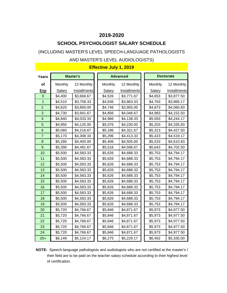## **SCHOOL PSYCHOLOGIST SALARY SCHEDULE**

## (INCLUDING MASTER'S LEVEL SPEECH-LANGUAGE PATHOLOGISTS

#### AND MASTER'S LEVEL AUDIOLOGISTS)

| <b>Years</b>   |               | <b>Master's</b> |         | <b>Advanced</b> |               | <b>Doctorate</b>    |
|----------------|---------------|-----------------|---------|-----------------|---------------|---------------------|
| οf             | Monthly       | 12 Monthly      | Monthly | 12 Monthly      | Monthly       | 12 Monthly          |
| <u>Exp</u>     | <b>Salary</b> | Installments    | Salary  | Installments    | <b>Salary</b> | <b>Installments</b> |
| $\overline{0}$ | \$4,400       | \$3,666.67      | \$4,526 | \$3,771.67      | \$4,653       | \$3,877.50          |
| 1              | \$4,510       | \$3,758.33      | \$4,636 | \$3,863.33      | \$4,763       | \$3,969.17          |
| $\overline{2}$ | \$4,620       | \$3,850.00      | \$4,746 | \$3,955.00      | \$4,873       | \$4,060.83          |
| 3              | \$4,730       | \$3,941.67      | \$4,856 | \$4,046.67      | \$4,983       | \$4,152.50          |
| 4              | \$4,840       | \$4,033.33      | \$4,966 | \$4,138.33      | \$5,093       | \$4,244.17          |
| 5              | \$4,950       | \$4,125.00      | \$5,076 | \$4,230.00      | \$5,203       | \$4,335.83          |
| 6              | \$5,060       | \$4,216.67      | \$5,186 | \$4,321.67      | \$5,313       | \$4,427.50          |
| $\overline{7}$ | \$5,170       | \$4,308.33      | \$5,296 | \$4,413.33      | \$5,423       | \$4,519.17          |
| 8              | \$5,280       | \$4,400.00      | \$5,406 | \$4,505.00      | \$5,533       | \$4,610.83          |
| 9              | \$5,390       | \$4,491.67      | \$5,516 | \$4,596.67      | \$5,643       | \$4,702.50          |
| 10             | \$5,500       | \$4,583.33      | \$5,626 | \$4,688.33      | \$5,753       | \$4,794.17          |
| 11             | \$5,500       | \$4,583.33      | \$5,626 | \$4,688.33      | \$5,753       | \$4,794.17          |
| 12             | \$5,500       | \$4,583.33      | \$5,626 | \$4,688.33      | \$5,753       | \$4,794.17          |
| 13             | \$5,500       | \$4,583.33      | \$5,626 | \$4,688.33      | \$5,753       | \$4,794.17          |
| 14             | \$5,500       | \$4,583.33      | \$5,626 | \$4,688.33      | \$5,753       | \$4,794.17          |
| 15             | \$5,500       | \$4,583.33      | \$5,626 | \$4,688.33      | \$5,753       | \$4,794.17          |
| 16             | \$5,500       | \$4,583.33      | \$5,626 | \$4,688.33      | \$5,753       | \$4,794.17          |
| 17             | \$5,500       | \$4,583.33      | \$5,626 | \$4,688.33      | \$5,753       | \$4,794.17          |
| 18             | \$5,500       | \$4,583.33      | \$5,626 | \$4,688.33      | \$5,753       | \$4,794.17          |
| 19             | \$5,500       | \$4,583.33      | \$5,626 | \$4,688.33      | \$5,753       | \$4,794.17          |
| 20             | \$5,720       | \$4,766.67      | \$5,846 | \$4,871.67      | \$5,973       | \$4,977.50          |
| 21             | \$5,720       | \$4,766.67      | \$5,846 | \$4,871.67      | \$5,973       | \$4,977.50          |
| 22             | \$5,720       | \$4,766.67      | \$5,846 | \$4,871.67      | \$5,973       | \$4,977.50          |
| 23             | \$5,720       | \$4,766.67      | \$5,846 | \$4,871.67      | \$5,973       | \$4,977.50          |
| 24             | \$5,720       | \$4,766.67      | \$5,846 | \$4,871.67      | \$5,973       | \$4,977.50          |
| $25+$          | \$6,149       | \$5,124.17      | \$6,275 | \$5,229.17      | \$6,402       | \$5,335.00          |

**NOTE:** Speech-language pathologists and audiologists who are not certified at the master's let their field are to be paid on the teacher salary schedule according to their highest level of certification.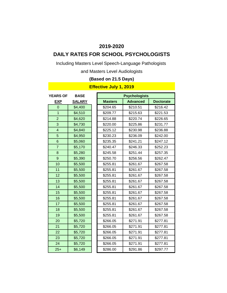# **DAILY RATES FOR SCHOOL PSYCHOLOGISTS**

Including Masters Level Speech-Language Pathologists

and Masters Level Audiologists

## **(Based on 21.5 Days)**

| <b>YEARS OF</b>         | <b>BASE</b>   |                | <b>Psychologists</b> |                  |
|-------------------------|---------------|----------------|----------------------|------------------|
| <b>EXP</b>              | <b>SALARY</b> | <b>Masters</b> | <b>Advanced</b>      | <b>Doctorate</b> |
| $\overline{0}$          | \$4,400       | \$204.65       | \$210.51             | \$216.42         |
| $\overline{1}$          | \$4,510       | \$209.77       | \$215.63             | \$221.53         |
| $\overline{2}$          | \$4,620       | \$214.88       | \$220.74             | \$226.65         |
| 3                       | \$4,730       | \$220.00       | \$225.86             | \$231.77         |
| $\overline{\mathbf{4}}$ | \$4,840       | \$225.12       | \$230.98             | \$236.88         |
| 5                       | \$4,950       | \$230.23       | \$236.09             | \$242.00         |
| $6\phantom{1}$          | \$5,060       | \$235.35       | \$241.21             | \$247.12         |
| $\overline{7}$          | \$5,170       | \$240.47       | \$246.33             | \$252.23         |
| 8                       | \$5,280       | \$245.58       | \$251.44             | \$257.35         |
| 9                       | \$5,390       | \$250.70       | \$256.56             | \$262.47         |
| 10                      | \$5,500       | \$255.81       | \$261.67             | \$267.58         |
| 11                      | \$5,500       | \$255.81       | \$261.67             | \$267.58         |
| 12                      | \$5,500       | \$255.81       | \$261.67             | \$267.58         |
| 13                      | \$5,500       | \$255.81       | \$261.67             | \$267.58         |
| 14                      | \$5,500       | \$255.81       | \$261.67             | \$267.58         |
| 15                      | \$5,500       | \$255.81       | \$261.67             | \$267.58         |
| 16                      | \$5,500       | \$255.81       | \$261.67             | \$267.58         |
| 17                      | \$5,500       | \$255.81       | \$261.67             | \$267.58         |
| 18                      | \$5,500       | \$255.81       | \$261.67             | \$267.58         |
| 19                      | \$5,500       | \$255.81       | \$261.67             | \$267.58         |
| 20                      | \$5,720       | \$266.05       | \$271.91             | \$277.81         |
| 21                      | \$5,720       | \$266.05       | \$271.91             | \$277.81         |
| 22                      | \$5,720       | \$266.05       | \$271.91             | \$277.81         |
| 23                      | \$5,720       | \$266.05       | \$271.91             | \$277.81         |
| 24                      | \$5,720       | \$266.05       | \$271.91             | \$277.81         |
| $25+$                   | \$6,149       | \$286.00       | \$291.86             | \$297.77         |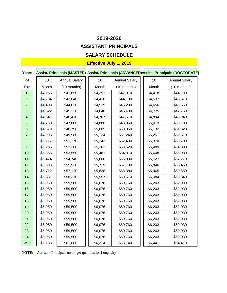## **ASSISTANT PRINCIPALS**

## **SALARY SCHEDULE**

## **Effective July 1, 2019**

| <b>Years</b>            |              |                      |              |                      |              | Assist. Principals (MASTER) Assist. Principals (ADVANCED)Assist. Principals (DOCTORATE) |
|-------------------------|--------------|----------------------|--------------|----------------------|--------------|-----------------------------------------------------------------------------------------|
| of                      | 10           | <b>Annual Salary</b> | 10           | <b>Annual Salary</b> | 10           | <b>Annual Salary</b>                                                                    |
| <u>Exp</u>              | <b>Month</b> | $(10$ months)        | <b>Month</b> | $(10$ months)        | <b>Month</b> | $(10$ months)                                                                           |
| $\mathbf 0$             | \$4,165      | \$41,650             | \$4,291      | \$42,910             | \$4,418      | \$44,180                                                                                |
| $\mathbf 1$             | \$4,284      | \$42,840             | \$4,410      | \$44,100             | \$4,537      | \$45,370                                                                                |
| $\overline{2}$          | \$4,403      | \$44,030             | \$4,529      | \$45,290             | \$4,656      | \$46,560                                                                                |
| 3                       | \$4,522      | \$45,220             | \$4,648      | \$46,480             | \$4,775      | \$47,750                                                                                |
| $\overline{\mathbf{4}}$ | \$4,641      | \$46,410             | \$4,767      | \$47,670             | \$4,894      | \$48,940                                                                                |
| 5                       | \$4,760      | \$47,600             | \$4,886      | \$48,860             | \$5,013      | \$50,130                                                                                |
| $\,6$                   | \$4,879      | \$48,790             | \$5,005      | \$50,050             | \$5,132      | \$51,320                                                                                |
| $\overline{7}$          | \$4,998      | \$49,980             | \$5,124      | \$51,240             | \$5,251      | \$52,510                                                                                |
| $\bf 8$                 | \$5,117      | \$51,170             | \$5,243      | \$52,430             | \$5,370      | \$53,700                                                                                |
| $9$                     | \$5,236      | \$52,360             | \$5,362      | \$53,620             | \$5,489      | \$54,890                                                                                |
| 10                      | \$5,355      | \$53,550             | \$5,481      | \$54,810             | \$5,608      | \$56,080                                                                                |
| 11                      | \$5,474      | \$54,740             | \$5,600      | \$56,000             | \$5,727      | \$57,270                                                                                |
| 12                      | \$5,593      | \$55,930             | \$5,719      | \$57,190             | \$5,846      | \$58,460                                                                                |
| 13                      | \$5,712      | \$57,120             | \$5,838      | \$58,380             | \$5,965      | \$59,650                                                                                |
| 14                      | \$5,831      | \$58,310             | \$5,957      | \$59,570             | \$6,084      | \$60,840                                                                                |
| 15                      | \$5,950      | \$59,500             | \$6,076      | \$60,760             | \$6,203      | \$62,030                                                                                |
| 16                      | \$5,950      | \$59,500             | \$6,076      | \$60,760             | \$6,203      | \$62,030                                                                                |
| 17                      | \$5,950      | \$59,500             | \$6,076      | \$60,760             | \$6,203      | \$62,030                                                                                |
| 18                      | \$5,950      | \$59,500             | \$6,076      | \$60,760             | \$6,203      | \$62,030                                                                                |
| 19                      | \$5,950      | \$59,500             | \$6,076      | \$60,760             | \$6,203      | \$62,030                                                                                |
| 20                      | \$5,950      | \$59,500             | \$6,076      | \$60,760             | \$6,203      | \$62,030                                                                                |
| 21                      | \$5,950      | \$59,500             | \$6,076      | \$60,760             | \$6,203      | \$62,030                                                                                |
| 22                      | \$5,950      | \$59,500             | \$6,076      | \$60,760             | \$6,203      | \$62,030                                                                                |
| 23                      | \$5,950      | \$59,500             | \$6,076      | \$60,760             | \$6,203      | \$62,030                                                                                |
| 24                      | \$5,950      | \$59,500             | \$6,076      | \$60,760             | \$6,203      | \$62,030                                                                                |
| $25+$                   | \$6,188      | \$61,880             | \$6,314      | \$63,140             | \$6,441      | \$64,410                                                                                |

**NOTE:** Assistant Principals no longer qualifies for Longevity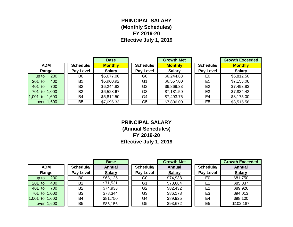## **PRINCIPAL SALARY (Monthly Schedules) FY 2019-20 Effective July 1, 2019**

|                   |                  | <b>Base</b>    |                  | <b>Growth Met</b> |                  | <b>Growth Exceeded</b> |
|-------------------|------------------|----------------|------------------|-------------------|------------------|------------------------|
| <b>ADM</b>        | Schedule/        | <b>Monthly</b> | Schedule/        | <b>Monthly</b>    | Schedule/        | <b>Monthly</b>         |
| Range             | <b>Pay Level</b> | <b>Salary</b>  | <b>Pay Level</b> | <b>Salary</b>     | <b>Pay Level</b> | <b>Salary</b>          |
| 200<br>up to      | B <sub>0</sub>   | \$5,677.08     | G <sub>0</sub>   | \$6,244.83        | E <sub>0</sub>   | \$6,812.50             |
| 201 to<br>400     | B <sub>1</sub>   | \$5,960.92     | G <sub>1</sub>   | \$6,557.00        | E <sub>1</sub>   | \$7,153.08             |
| 700<br>401 to     | <b>B2</b>        | \$6,244.83     | G <sub>2</sub>   | \$6,869.33        | E <sub>2</sub>   | \$7,493.83             |
| 1,000<br>701 to   | B <sub>3</sub>   | \$6,528.67     | G <sub>3</sub>   | \$7,181.50        | E <sub>3</sub>   | \$7,834.42             |
| 1,600<br>1,001 to | <b>B4</b>        | \$6,812.50     | G4               | \$7,493.75        | E <sub>4</sub>   | \$8,175.00             |
| over 1,600        | B <sub>5</sub>   | \$7,096.33     | G <sub>5</sub>   | \$7,806.00        | E <sub>5</sub>   | \$8,515.58             |

**PRINCIPAL SALARY (Annual Schedules) FY 2019-20 Effective July 1, 2019**

|                      |                  | <b>Base</b>   |                  | <b>Growth Met</b> |                  | <b>Growth Exceeded</b> |
|----------------------|------------------|---------------|------------------|-------------------|------------------|------------------------|
| <b>ADM</b>           | Schedule/        | <b>Annual</b> | Schedule/        | <b>Annual</b>     | Schedule/        | <b>Annual</b>          |
| Range                | <b>Pay Level</b> | <b>Salary</b> | <b>Pay Level</b> | <b>Salary</b>     | <b>Pay Level</b> | <b>Salary</b>          |
| 200<br>up to         | B <sub>0</sub>   | \$68,125      | G <sub>0</sub>   | \$74,938          | E <sub>0</sub>   | \$81,750               |
| 201<br>400<br>to     | B <sub>1</sub>   | \$71,531      | G <sub>1</sub>   | \$78,684          | E <sub>1</sub>   | \$85,837               |
| 401<br>700<br>to     | <b>B2</b>        | \$74,938      | G <sub>2</sub>   | \$82,432          | E <sub>2</sub>   | \$89,926               |
| 701 to<br>1,000      | B <sub>3</sub>   | \$78,344      | G <sub>3</sub>   | \$86,178          | E <sub>3</sub>   | \$94,013               |
| 1,001<br>1,600<br>to | <b>B4</b>        | \$81,750      | G4               | \$89,925          | E4               | \$98,100               |
| over 1,600           | B <sub>5</sub>   | \$85,156      | G <sub>5</sub>   | \$93,672          | E <sub>5</sub>   | \$102,187              |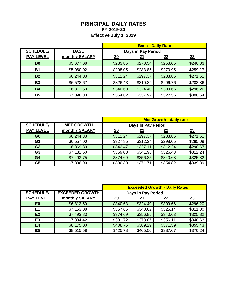## **PRINCIPAL DAILY RATES FY 2019-20 Effective July 1, 2019**

|                  |                | <b>Base - Daily Rate</b> |            |                 |           |
|------------------|----------------|--------------------------|------------|-----------------|-----------|
| <b>SCHEDULE/</b> | <b>BASE</b>    | Days in Pay Period       |            |                 |           |
| <b>PAY LEVEL</b> | monthly SALARY | $\underline{20}$         | <u> 21</u> | $\overline{22}$ | <u>23</u> |
| B <sub>0</sub>   | \$5,677.08     | \$283.85                 | \$270.34   | \$258.05        | \$246.83  |
| <b>B1</b>        | \$5,960.92     | \$298.05                 | \$283.85   | \$270.95        | \$259.17  |
| <b>B2</b>        | \$6,244.83     | \$312.24                 | \$297.37   | \$283.86        | \$271.51  |
| <b>B3</b>        | \$6,528.67     | \$326.43                 | \$310.89   | \$296.76        | \$283.86  |
| <b>B4</b>        | \$6,812.50     | \$340.63                 | \$324.40   | \$309.66        | \$296.20  |
| <b>B5</b>        | \$7,096.33     | \$354.82                 | \$337.92   | \$322.56        | \$308.54  |

|                  |                   | <b>Met Growth - daily rate</b> |          |          |          |
|------------------|-------------------|--------------------------------|----------|----------|----------|
| <b>SCHEDULE/</b> | <b>MET GROWTH</b> | Days in Pay Period             |          |          |          |
| <b>PAY LEVEL</b> | monthly SALARY    | <u>20</u>                      | 21       | 22       | 23       |
| G <sub>0</sub>   | \$6,244.83        | \$312.24                       | \$297.37 | \$283.86 | \$271.51 |
| G <sub>1</sub>   | \$6,557.00        | \$327.85                       | \$312.24 | \$298.05 | \$285.09 |
| G <sub>2</sub>   | \$6,869.33        | \$343.47                       | \$327.11 | \$312.24 | \$298.67 |
| G <sub>3</sub>   | \$7,181.50        | \$359.08                       | \$341.98 | \$326.43 | \$312.24 |
| G <sub>4</sub>   | \$7,493.75        | \$374.69                       | \$356.85 | \$340.63 | \$325.82 |
| G <sub>5</sub>   | \$7,806.00        | \$390.30                       | \$371.71 | \$354.82 | \$339.39 |

|                  |                        | <b>Exceeded Growth - Daily Rates</b> |          |          |          |
|------------------|------------------------|--------------------------------------|----------|----------|----------|
| <b>SCHEDULE/</b> | <b>EXCEEDED GROWTH</b> | Days in Pay Period                   |          |          |          |
| <b>PAY LEVEL</b> | monthly SALARY         | $\overline{20}$                      |          | 22       | 23       |
| E <sub>0</sub>   | \$6,812.50             | \$340.63                             | \$324.40 | \$309.66 | \$296.20 |
| E1               | \$7,153.08             | \$357.65                             | \$340.62 | \$325.14 | \$311.00 |
| E2               | \$7,493.83             | \$374.69                             | \$356.85 | \$340.63 | \$325.82 |
| E <sub>3</sub>   | \$7,834.42             | \$391.72                             | \$373.07 | \$356.11 | \$340.63 |
| <b>E4</b>        | \$8,175.00             | \$408.75                             | \$389.29 | \$371.59 | \$355.43 |
| E <sub>5</sub>   | \$8,515.58             | \$425.78                             | \$405.50 | \$387.07 | \$370.24 |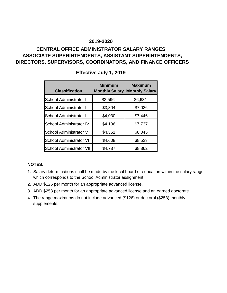## **CENTRAL OFFICE ADMINISTRATOR SALARY RANGES ASSOCIATE SUPERINTENDENTS, ASSISTANT SUPERINTENDENTS, DIRECTORS, SUPERVISORS, COORDINATORS, AND FINANCE OFFICERS**

| <b>Classification</b>           | <b>Minimum</b> | <b>Maximum</b><br><b>Monthly Salary Monthly Salary</b> |
|---------------------------------|----------------|--------------------------------------------------------|
| School Administrator I          | \$3,596        | \$6,631                                                |
| <b>School Administrator II</b>  | \$3,804        | \$7,026                                                |
| <b>School Administrator III</b> | \$4,030        | \$7,446                                                |
| <b>School Administrator IV</b>  | \$4,186        | \$7,737                                                |
| School Administrator V          | \$4,351        | \$8,045                                                |
| <b>School Administrator VI</b>  | \$4,608        | \$8,523                                                |
| <b>School Administrator VII</b> | \$4,787        | \$8,862                                                |

## **Effective July 1, 2019**

#### **NOTES:**

- 1. Salary determinations shall be made by the local board of education within the salary range which corresponds to the School Administrator assignment.
- 2. ADD \$126 per month for an appropriate advanced license.
- 3. ADD \$253 per month for an appropriate advanced license and an earned doctorate.
- 4. The range maximums do not include advanced (\$126) or doctoral (\$253) monthly supplements.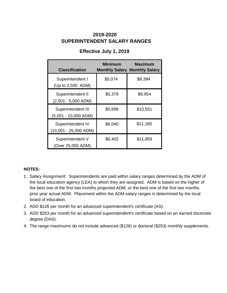## **SUPERINTENDENT SALARY RANGES 2019-2020**

## **Effective July 1, 2019**

| <b>Classification</b>                      | <b>Minimum</b> | <b>Maximum</b><br><b>Monthly Salary Monthly Salary</b> |
|--------------------------------------------|----------------|--------------------------------------------------------|
| Superintendent I<br>(Up to 2,500 ADM)      | \$5,074        | \$9,394                                                |
| Superintendent II<br>$(2,501 - 5,000$ ADM) | \$5,379        | \$9,954                                                |
| Superintendent III<br>(5,001 - 10,000 ADM) | \$5,698        | \$10,551                                               |
| Superintendent IV<br>(10,001 - 25,000 ADM) | \$6,040        | \$11,185                                               |
| Superintendent V<br>(Over 25,000 ADM)      | \$6,403        | \$11,859                                               |

#### **NOTES:**

- 1. Salary Assignment: Superintendents are paid within salary ranges determined by the ADM of the local education agency (LEA) to which they are assigned. ADM is based on the higher of the best one of the first two months projected ADM, or the best one of the first two months prior year actual ADM. Placement within the ADM salary ranges is determined by the local board of education.
- 2. ADD \$126 per month for an advanced superintendent's certificate (AS).
- 3. ADD \$253 per month for an advanced superintendent's certificate based on an earned doctorate degree (DAS).
- 4. The range maximums do not include advanced (\$126) or doctoral (\$253) monthly supplements.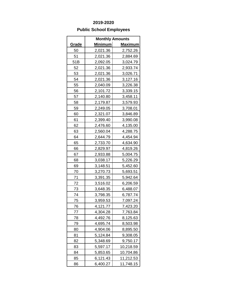## **Public School Employees**

|              | <b>Monthly Amounts</b> |                |
|--------------|------------------------|----------------|
| <u>Grade</u> | <u>Minimum</u>         | <u>Maximum</u> |
| 50           | 2,021.36               | 2,752.26       |
| 51           | 2,021.36               | 2,884.69       |
| 51B          | 2,092.05               | 3,024.79       |
| 52           | 2,021.36               | 2,933.74       |
| 53           | 2,021.36               | 3,026.71       |
| 54           | 2,021.36               | 3,127.16       |
| 55           | 2,040.09               | 3,226.38       |
| 56           | 2,101.72               | 3,339.15       |
| 57           | 2,140.80               | 3,458.11       |
| 58           | 2,179.87               | 3,579.93       |
| 59           | 2,249.05               | 3,708.01       |
| 60           | 2,321.07               | 3,846.89       |
| 61           | 2,399.40               | 3,990.08       |
| 62           | 2,476.60               | 4,135.00       |
| 63           | 2,560.04               | 4,288.75       |
| 64           | 2,644.79               | 4,454.94       |
| 65           | 2,733.70               | 4,634.90       |
| 66           | 2,829.97               | 4,819.26       |
| 67           | 2,933.88               | 5,004.75       |
| 68           | 3,038.17               | 5,226.29       |
| 69           | 3,148.51               | 5,452.60       |
| 70           | 3,270.73               | 5,693.51       |
| 71           | 3,391.35               | 5,942.64       |
| 72           | 3,516.02               | 6,206.59       |
| 73           | 3,648.35               | 6,488.07       |
| 74           | 3,798.35               | 6,787.74       |
| 75           | 3,959.53               | 7,097.24       |
| 76           | 4,121.77               | 7,423.20       |
| 77           | 4,304.28               | 7,763.84       |
| 78           | 4,492.76               | 8,125.63       |
| 79           | 4,695.74               | 8,503.98       |
| 80           | 4,904.06               | 8,895.50       |
| 81           | 5,124.84               | 9,308.05       |
| 82           | 5,348.69               | 9,750.17       |
| 83           | 5,597.17               | 10,218.59      |
| 84           | 5,853.65               | 10,704.86      |
| 85           | 6,121.43               | 11,212.53      |
| 86           | 6,400.27               | 11,748.15      |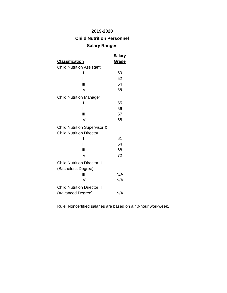## **Child Nutrition Personnel**

### **Salary Ranges**

|                                         | Salary |
|-----------------------------------------|--------|
| <b>Classification</b>                   | Grade  |
| <b>Child Nutrition Assistant</b>        |        |
| I                                       | 50     |
| Н                                       | 52     |
| Ш                                       | 54     |
| IV                                      | 55     |
| <b>Child Nutrition Manager</b>          |        |
| ı                                       | 55     |
| $\overline{\mathsf{I}}$                 | 56     |
| Ш                                       | 57     |
| IV                                      | 58     |
| <b>Child Nutrition Supervisor &amp;</b> |        |
| <b>Child Nutrition Director I</b>       |        |
| ı                                       | 61     |
| Ш                                       | 64     |
| Ш                                       | 68     |
| IV                                      | 72     |
| <b>Child Nutrition Director II</b>      |        |
| (Bachelor's Degree)                     |        |
| Ш                                       | N/A    |
| IV                                      | N/A    |
| <b>Child Nutrition Director II</b>      |        |
| (Advanced Degree)                       | N/A    |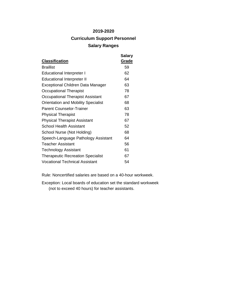# **2019-2020 Curriculum Support Personnel Salary Ranges**

| <b>Classification</b>                      | <b>Salary</b><br>Grade |
|--------------------------------------------|------------------------|
| <b>Braillist</b>                           | 59                     |
| <b>Educational Interpreter I</b>           | 62                     |
| <b>Educational Interpreter II</b>          | 64                     |
| Exceptional Children Data Manager          | 63                     |
| Occupational Therapist                     | 78                     |
| Occupational Therapist Assistant           | 67                     |
| <b>Orientation and Mobility Specialist</b> | 68                     |
| <b>Parent Counselor-Trainer</b>            | 63                     |
| <b>Physical Therapist</b>                  | 78                     |
| <b>Physical Therapist Assistant</b>        | 67                     |
| <b>School Health Assistant</b>             | 52                     |
| School Nurse (Not Holding)                 | 68                     |
| Speech-Language Pathology Assistant        | 64                     |
| <b>Teacher Assistant</b>                   | 56                     |
| Technology Assistant                       | 61                     |
| <b>Therapeutic Recreation Specialist</b>   | 67                     |
| <b>Vocational Technical Assistant</b>      | 54                     |

Rule: Noncertified salaries are based on a 40-hour workweek.

Exception: Local boards of education set the standard workweek (not to exceed 40 hours) for teacher assistants.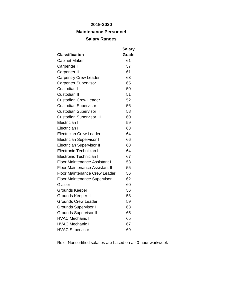## **Maintenance Personnel**

#### **Salary Ranges**

| <b>Classification</b>                 | <b>Salary</b><br>Grade |
|---------------------------------------|------------------------|
| <b>Cabinet Maker</b>                  | 61                     |
| Carpenter I                           | 57                     |
| <b>Carpenter II</b>                   | 61                     |
| <b>Carpentry Crew Leader</b>          | 63                     |
| <b>Carpenter Supervisor</b>           | 65                     |
| Custodian I                           | 50                     |
|                                       |                        |
| Custodian II                          | 51                     |
| <b>Custodian Crew Leader</b>          | 52                     |
| <b>Custodian Supervisor I</b>         | 56                     |
| <b>Custodian Supervisor II</b>        | 58                     |
| <b>Custodian Supervisor III</b>       | 60                     |
| Electrician I                         | 59                     |
| <b>Electrician II</b>                 | 63                     |
| <b>Electrician Crew Leader</b>        | 64                     |
| <b>Electrician Supervisor I</b>       | 66                     |
| <b>Electrician Supervisor II</b>      | 68                     |
| <b>Electronic Technician I</b>        | 64                     |
| Electronic Technician II              | 67                     |
| <b>Floor Maintenance Assistant I</b>  | 53                     |
| <b>Floor Maintenance Assistant II</b> | 55                     |
| <b>Floor Maintenance Crew Leader</b>  | 56                     |
| <b>Floor Maintenance Supervisor</b>   | 62                     |
| Glazier                               | 60                     |
| Grounds Keeper I                      | 56                     |
| Grounds Keeper II                     | 58                     |
| <b>Grounds Crew Leader</b>            | 59                     |
| <b>Grounds Supervisor I</b>           | 63                     |
| <b>Grounds Supervisor II</b>          | 65                     |
| <b>HVAC Mechanic I</b>                | 65                     |
| <b>HVAC Mechanic II</b>               | 67                     |
| <b>HVAC Supervisor</b>                | 69                     |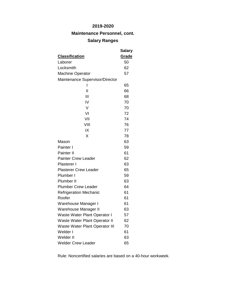**Maintenance Personnel, cont.**

# **Salary Ranges**

|                                       | Salary |
|---------------------------------------|--------|
| <b>Classification</b>                 | Grade  |
| Laborer                               | 50     |
| Locksmith                             | 62     |
| <b>Machine Operator</b>               | 57     |
| Maintenance Supervisor/Director       |        |
| ı                                     | 65     |
| $\mathsf{I}$                          | 66     |
| Ш                                     | 68     |
| IV                                    | 70     |
| V                                     | 70     |
| VI                                    | 72     |
| VII                                   | 74     |
| VIII                                  | 76     |
| IX                                    | 77     |
| X                                     | 78     |
| Mason                                 | 63     |
| Painter I                             | 59     |
| Painter II                            | 61     |
| <b>Painter Crew Leader</b>            | 62     |
| Plasterer I                           | 63     |
| <b>Plasterer Crew Leader</b>          | 65     |
| Plumber I                             | 59     |
| Plumber II                            | 63     |
| <b>Plumber Crew Leader</b>            | 64     |
| <b>Refrigeration Mechanic</b>         | 61     |
| Roofer                                | 61     |
| Warehouse Manager I                   | 61     |
| Warehouse Manager II                  | 63     |
| Waste Water Plant Operator I          | 57     |
| Waste Water Plant Operator II         | 62     |
| <b>Waste Water Plant Operator III</b> | 70     |
| Welder I                              | 61     |
| Welder II                             | 63     |
| <b>Welder Crew Leader</b>             | 65     |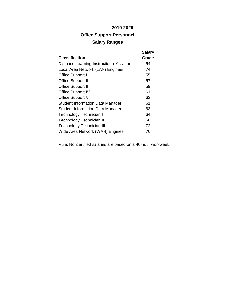# **Office Support Personnel Salary Ranges**

|                                            | <b>Salary</b> |
|--------------------------------------------|---------------|
| <b>Classification</b>                      | Grade         |
| Distance Learning Instructional Assistant  | 54            |
| Local Area Network (LAN) Engineer          | 74            |
| Office Support I                           | 55            |
| <b>Office Support II</b>                   | 57            |
| <b>Office Support III</b>                  | 59            |
| <b>Office Support IV</b>                   | 61            |
| Office Support V                           | 63            |
| <b>Student Information Data Manager I</b>  | 61            |
| <b>Student Information Data Manager II</b> | 63            |
| Technology Technician I                    | 64            |
| Technology Technician II                   | 68            |
| Technology Technician III                  | 72            |
| Wide Area Network (WAN) Engineer           | 76            |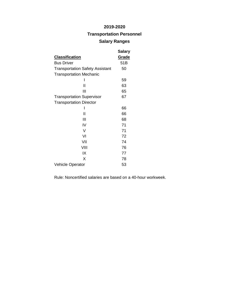## **Transportation Personnel**

## **Salary Ranges**

|                                        | <b>Salary</b> |
|----------------------------------------|---------------|
| <u>Classification</u>                  | <u>Grade</u>  |
| <b>Bus Driver</b>                      | 51B           |
| <b>Transportation Safety Assistant</b> | 50            |
| <b>Transportation Mechanic</b>         |               |
|                                        | 59            |
| Ш                                      | 63            |
| Ш                                      | 65            |
| <b>Transportation Supervisor</b>       | 67            |
| <b>Transportation Director</b>         |               |
|                                        | 66            |
| Ш                                      | 66            |
| Ш                                      | 68            |
| IV                                     | 71            |
| V                                      | 71            |
| VI                                     | 72            |
| VII                                    | 74            |
| VIII                                   | 76            |
| IX                                     | 77            |
| X                                      | 78            |
| <b>Vehicle Operator</b>                | 53            |